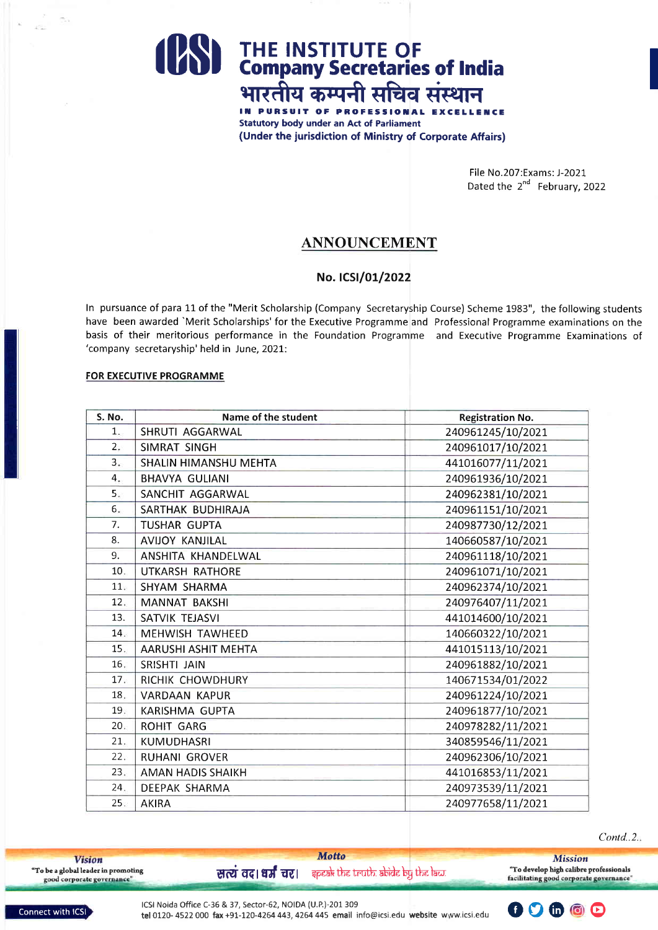## **Solution 19 THE INSTITUTE OF**<br>**D** Company Secretaries of India भारतीय कम्पनी सचिव संस्थान

IN PURSUIT OF PROFESSIO **Statutory body under an Act of Parliament** (Under the jurisdiction of Ministry of Corporate Affairs)

> File No.207:Exams: J-2021 Dated the 2<sup>nd</sup> February, 2022

### **ANNOUNCEMENT**

#### No. ICSI/01/2022

In pursuance of para 11 of the "Merit Scholarship (Company Secretaryship Course) Scheme 1983", the following students have been awarded `Merit Scholarships' for the Executive Programme and Professional Programme examinations on the basis of their meritorious performance in the Foundation Programme and Executive Programme Examinations of 'company secretaryship' held in June, 2021:

#### **FOR EXECUTIVE PROGRAMME**

| <b>S. No.</b> | Name of the student          | <b>Registration No.</b> |
|---------------|------------------------------|-------------------------|
| 1.            | SHRUTI AGGARWAL              | 240961245/10/2021       |
| 2.7           | SIMRAT SINGH                 | 240961017/10/2021       |
| 3.5           | <b>SHALIN HIMANSHU MEHTA</b> | 441016077/11/2021       |
| 4.            | <b>BHAVYA GULIANI</b>        | 240961936/10/2021       |
| 5.            | SANCHIT AGGARWAL             | 240962381/10/2021       |
| 6.            | SARTHAK BUDHIRAJA            | 240961151/10/2021       |
| 7.            | <b>TUSHAR GUPTA</b>          | 240987730/12/2021       |
| 8.            | <b>AVIJOY KANJILAL</b>       | 140660587/10/2021       |
| 9.            | ANSHITA KHANDELWAL           | 240961118/10/2021       |
| 10.           | UTKARSH RATHORE              | 240961071/10/2021       |
| 11.           | <b>SHYAM SHARMA</b>          | 240962374/10/2021       |
| 12.           | <b>MANNAT BAKSHI</b>         | 240976407/11/2021       |
| 13.           | SATVIK TEJASVI               | 441014600/10/2021       |
| 14.           | MEHWISH TAWHEED              | 140660322/10/2021       |
| 15.           | AARUSHI ASHIT MEHTA          | 441015113/10/2021       |
| 16.           | SRISHTI JAIN                 | 240961882/10/2021       |
| 17.           | RICHIK CHOWDHURY             | 140671534/01/2022       |
| 18.           | <b>VARDAAN KAPUR</b>         | 240961224/10/2021       |
| 19.           | <b>KARISHMA GUPTA</b>        | 240961877/10/2021       |
| 20.           | <b>ROHIT GARG</b>            | 240978282/11/2021       |
| 21.           | KUMUDHASRI                   | 340859546/11/2021       |
| 22.           | RUHANI GROVER                | 240962306/10/2021       |
| 23.           | <b>AMAN HADIS SHAIKH</b>     | 441016853/11/2021       |
| 24.           | DEEPAK SHARMA                | 240973539/11/2021       |
| 25.           | <b>AKIRA</b>                 | 240977658/11/2021       |

 $Contd.2.$ 

**Vision** "To be a global leader in promoting<br>good corporate governance" **Motto** 

 $\vec{r}$  and  $\vec{r}$  and  $\vec{r}$  and  $\vec{r}$  are  $\vec{r}$  and  $\vec{r}$  and  $\vec{r}$  and  $\vec{r}$  and  $\vec{r}$  and  $\vec{r}$  and  $\vec{r}$  and  $\vec{r}$  and  $\vec{r}$  and  $\vec{r}$  and  $\vec{r}$  and  $\vec{r}$  and  $\vec{r}$  and  $\vec{r}$  and  $\vec{r$ 

**Mission** "To develop high calibre professionals<br>facilitating good corporate governance"